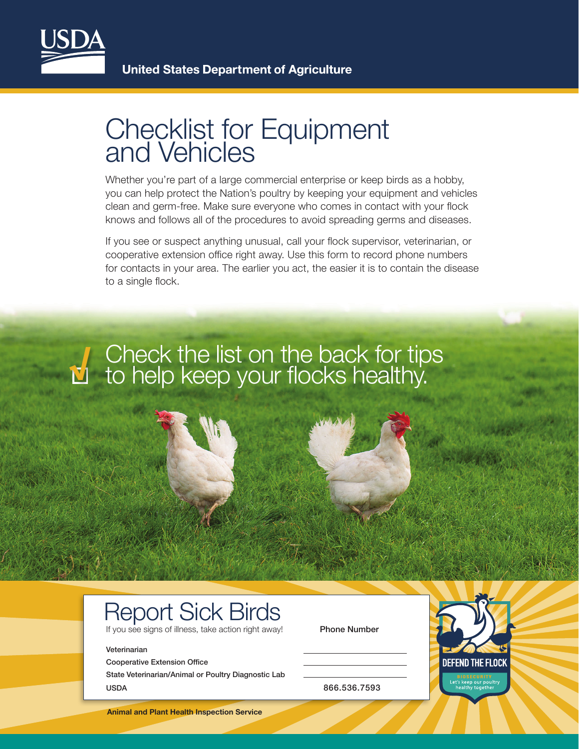

### Checklist for Equipment and Vehicles

Whether you're part of a large commercial enterprise or keep birds as a hobby, you can help protect the Nation's poultry by keeping your equipment and vehicles clean and germ-free. Make sure everyone who comes in contact with your flock knows and follows all of the procedures to avoid spreading germs and diseases.

If you see or suspect anything unusual, call your flock supervisor, veterinarian, or cooperative extension office right away. Use this form to record phone numbers for contacts in your area. The earlier you act, the easier it is to contain the disease to a single flock.

#### **√** Check the list on the back for tips to help keep your flocks healthy.

## Report Sick Birds

If you see signs of illness, take action right away! Phone Number

#### Veterinarian

Cooperative Extension Office

State Veterinarian/Animal or Poultry Diagnostic Lab USDA 866.536.7593

**Animal and Plant Health Inspection Service**